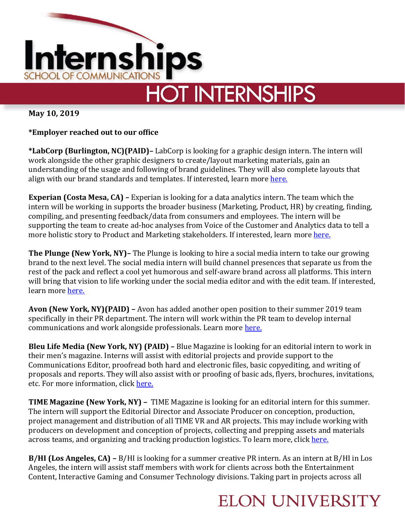

**May 10, 2019**

## **\*Employer reached out to our office**

**\*LabCorp (Burlington, NC)(PAID)–** LabCorp is looking for a graphic design intern. The intern will work alongside the other graphic designers to create/layout marketing materials, gain an understanding of the usage and following of brand guidelines. They will also complete layouts that align with our brand standards and templates. If interested, learn more [here.](https://recruiting.adp.com/srccar/public/RTI.home?c=1159451&d=External&r=5000488129406#/)

**Experian (Costa Mesa, CA) –** Experian is looking for a data analytics intern. The team which the intern will be working in supports the broader business (Marketing, Product, HR) by creating, finding, compiling, and presenting feedback/data from consumers and employees. The intern will be supporting the team to create ad-hoc analyses from Voice of the Customer and Analytics data to tell a more holistic story to Product and Marketing stakeholders. If interested, learn more [here.](https://experian.referrals.selectminds.com/jobs/consumer-insights-intern-11751)

**The Plunge (New York, NY)–** The Plunge is looking to hire a social media intern to take our growing brand to the next level. The social media intern will build channel presences that separate us from the rest of the pack and reflect a cool yet humorous and self-aware brand across all platforms. This intern will bring that vision to life working under the social media editor and with the edit team. If interested, learn more [here.](https://www.linkedin.com/jobs/view/1262432833/)

**Avon (New York, NY)(PAID) –** Avon has added another open position to their summer 2019 team specifically in their PR department. The intern will work within the PR team to develop internal communications and work alongside professionals. Learn more [here.](https://www.linkedin.com/jobs/view/1255887579/)

**Bleu Life Media (New York, NY) (PAID) –** Blue Magazine is looking for an editorial intern to work in their men's magazine. Interns will assist with editorial projects and provide support to the Communications Editor, proofread both hard and electronic files, basic copyediting, and writing of proposals and reports. They will also assist with or proofing of basic ads, flyers, brochures, invitations, etc. For more information, click [here.](https://www.linkedin.com/jobs/view/1233328038/)

**TIME Magazine (New York, NY) –** TIME Magazine is looking for an editorial intern for this summer. The intern will support the Editorial Director and Associate Producer on conception, production, project management and distribution of all TIME VR and AR projects. This may include working with producers on development and conception of projects, collecting and prepping assets and materials across teams, and organizing and tracking production logistics. To learn more, click [here.](https://www.linkedin.com/jobs/view/1227355915/)

**B/HI (Los Angeles, CA) –** B/HI is looking for a summer creative PR intern. As an intern at B/HI in Los Angeles, the intern will assist staff members with work for clients across both the Entertainment Content, Interactive Gaming and Consumer Technology divisions. Taking part in projects across all

## **ELON UNIVERSITY**